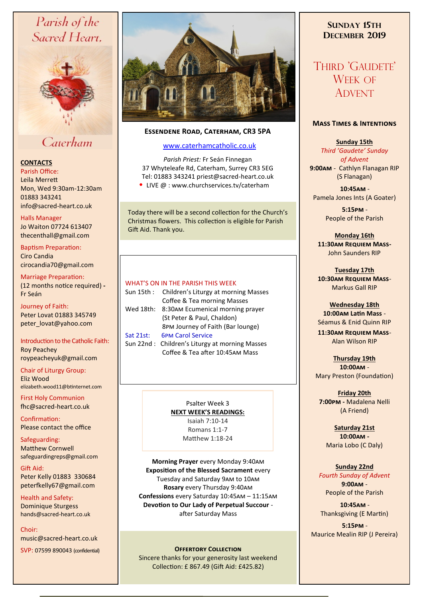# Parish of the Sacred Heart,



# Caterham

# **CONTACTS**

Parish Office: Leila Merrett Mon, Wed 9:30am-12:30am 01883 343241 info@sacred-heart.co.uk .

#### Halls Manager

Jo Waiton 07724 613407 thecenthall@gmail.com

Baptism Preparation: Ciro Candia cirocandia70@gmail.com

Marriage Preparation: (12 months notice required) **-** Fr Seán

Journey of Faith: Peter Lovat 01883 345749 peter\_lovat@yahoo.com

Introduction to the Catholic Faith: Roy Peachey roypeacheyuk@gmail.com

Chair of Liturgy Group: Eliz Wood elizabeth.wood11@btinternet.com

First Holy Communion fhc@sacred-heart.co.uk

Confirmation: Please contact the office

Safeguarding: Matthew Cornwell safeguardingreps@gmail.com

Gift Aid: Peter Kelly 01883 330684 peterfkelly67@gmail.com

Health and Safety: Dominique Sturgess hands@sacred-heart.co.uk

Choir: music@sacred-heart.co.uk

SVP: 07599 890043 (confidential)



# **Essendene Road, Caterham, CR3 5PA**

# [www.caterhamcatholic.co.uk](http://Www.caterhamcatholic.co.uk)

*Parish Priest:* Fr Seán Finnegan 37 Whyteleafe Rd, Caterham, Surrey CR3 5EG Tel: 01883 343241 priest@sacred-heart.co.uk • LIVE @ : www.churchservices.tv/caterham

Today there will be a second collection for the Church's Christmas flowers. This collection is eligible for Parish Gift Aid. Thank you.

## WHAT'S ON IN THE PARISH THIS WEEK.

| Sun 15th : | Children's Liturgy at morning Masses           |
|------------|------------------------------------------------|
|            | Coffee & Tea morning Masses                    |
| Wed 18th:  | 8:30AM Ecumenical morning prayer               |
|            | (St Peter & Paul, Chaldon)                     |
|            | 8PM Journey of Faith (Bar lounge)              |
| Sat 21st:  | <b>6PM Carol Service</b>                       |
|            | Sun 22nd: Children's Liturgy at morning Masses |
|            | Coffee & Tea after 10:45AM Mass                |
|            |                                                |

Psalter Week 3 **NEXT WEEK'S READINGS:**  Isaiah 7:10-14 Romans 1:1-7 Matthew 1:18-24

**Morning Prayer** every Monday 9:40am **Exposition of the Blessed Sacrament** every Tuesday and Saturday 9am to 10am **Rosary** every Thursday 9:40am **Confessions** every Saturday 10:45am – 11:15am **Devotion to Our Lady of Perpetual Succour**  after Saturday Mass

## **Offertory Collection**

Sincere thanks for your generosity last weekend Collection: £ 867.49 (Gift Aid: £425.82)

# **SUNDAY 15TH DECEMBER 2019**

# THIRD 'GAUDETE' WEEK OF ADVENT

## **Mass Times & Intentions**

**Sunday 15th** *Third 'Gaudete' Sunday of Advent*  **9:00am** - Cathlyn Flanagan RIP (S Flanagan)

.**10:45am** - Pamela Jones Ints (A Goater)

> .**5:15pm** - People of the Parish

**Monday 16th 11:30am Requiem Mass-**John Saunders RIP

**Tuesday 17th 10:30am Requiem Mass**-Markus Gall RIP

**Wednesday 18th 10:00am Latin Mass** - Séamus & Enid Quinn RIP

**11:30am Requiem Mass**-Alan Wilson RIP

**Thursday 19th 10:00am** - Mary Preston (Foundation)

**Friday 20th 7:00pm -** Madalena Nelli (A Friend)

**Saturday 21st 10:00am -**  Maria Lobo (C Daly)

## **Sunday 22nd**

*Fourth Sunday of Advent*  **9:00am** - People of the Parish

.**10:45am** - Thanksgiving (E Martin)

.**5:15pm** - Maurice Mealin RIP (J Pereira)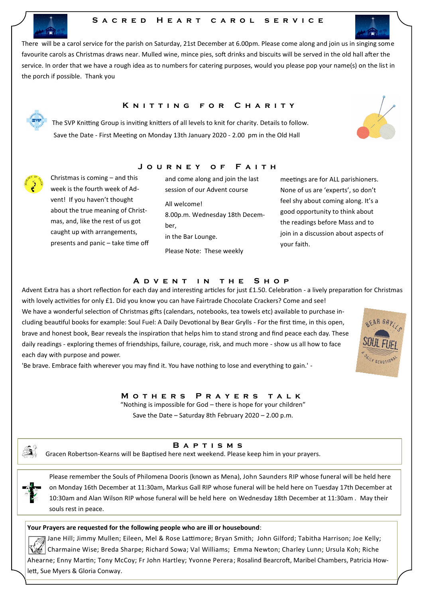# S A C R E D H E A R T C A R O L S E R V I C E



## **KNITTING FOR CHARITY**

**J o u r n e y o f F a i t h**

The SVP Knitting Group is inviting knitters of all levels to knit for charity. Details to follow. Save the Date - First Meeting on Monday 13th January 2020 - 2.00 pm in the Old Hall

Christmas is coming – and this week is the fourth week of Advent! If you haven't thought about the true meaning of Christmas, and, like the rest of us got caught up with arrangements, presents and panic – take time off

each day with purpose and power.

and come along and join the last session of our Advent course All welcome! 8.00p.m. Wednesday 18th December, in the Bar Lounge. Please Note: These weekly

meetings are for ALL parishioners. None of us are 'experts', so don't feel shy about coming along. It's a good opportunity to think about the readings before Mass and to join in a discussion about aspects of your faith.

#### **A D V E N T I N THE S H O P**

Advent Extra has a short reflection for each day and interesting articles for just £1.50. Celebration - a lively preparation for Christmas with lovely activities for only £1. Did you know you can have Fairtrade Chocolate Crackers? Come and see! We have a wonderful selection of Christmas gifts (calendars, notebooks, tea towels etc) available to purchase including beautiful books for example: Soul Fuel: A Daily Devotional by Bear Grylls - For the first time, in this open, brave and honest book, Bear reveals the inspiration that helps him to stand strong and find peace each day. These daily readings - exploring themes of friendships, failure, courage, risk, and much more - show us all how to face

'Be brave. Embrace faith wherever you may find it. You have nothing to lose and everything to gain.' -

**M o t h e r s P r a y e r s t a l k** 

"Nothing is impossible for God – there is hope for your children" Save the Date – Saturday 8th February 2020 – 2.00 p.m.



**B a p t i s m s**

Gracen Robertson-Kearns will be Baptised here next weekend. Please keep him in your prayers.

 Please remember the Souls of Philomena Dooris (known as Mena), John Saunders RIP whose funeral will be held here on Monday 16th December at 11:30am, Markus Gall RIP whose funeral will be held here on Tuesday 17th December at 10:30am and Alan Wilson RIP whose funeral will be held here on Wednesday 18th December at 11:30am . May their souls rest in peace.

#### **Your Prayers are requested for the following people who are ill or housebound**:

 $\gg$  Jane Hill; Jimmy Mullen; Eileen, Mel & Rose Lattimore; Bryan Smith; John Gilford; Tabitha Harrison; Joe Kelly; Charmaine Wise; Breda Sharpe; Richard Sowa; Val Williams; Emma Newton; Charley Lunn; Ursula Koh; Riche Ahearne; Enny Martin; Tony McCoy; Fr John Hartley; Yvonne Perera; Rosalind Bearcroft, Maribel Chambers, Patricia Howlett, Sue Myers & Gloria Conway.





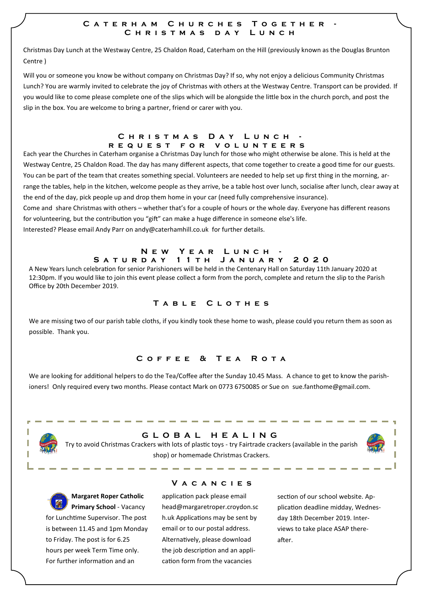## **C a t e r h a m C h u r c h e s T o g e t h e r - C h r i s t m a s d a y L u n c h**

Christmas Day Lunch at the Westway Centre, 25 Chaldon Road, Caterham on the Hill (previously known as the Douglas Brunton Centre )

Will you or someone you know be without company on Christmas Day? If so, why not enjoy a delicious Community Christmas Lunch? You are warmly invited to celebrate the joy of Christmas with others at the Westway Centre. Transport can be provided. If you would like to come please complete one of the slips which will be alongside the little box in the church porch, and post the slip in the box. You are welcome to bring a partner, friend or carer with you.

#### C H R I S T M A S D A Y L U N C H **r e q u e s t f o r v o l u n t e e r s**

Each year the Churches in Caterham organise a Christmas Day lunch for those who might otherwise be alone. This is held at the Westway Centre, 25 Chaldon Road. The day has many different aspects, that come together to create a good time for our guests. You can be part of the team that creates something special. Volunteers are needed to help set up first thing in the morning, arrange the tables, help in the kitchen, welcome people as they arrive, be a table host over lunch, socialise after lunch, clear away at the end of the day, pick people up and drop them home in your car (need fully comprehensive insurance).

Come and share Christmas with others – whether that's for a couple of hours or the whole day. Everyone has different reasons for volunteering, but the contribution you "gift" can make a huge difference in someone else's life.

Interested? Please email Andy Parr on andy@caterhamhill.co.uk for further details.

## **NEW YEAR LUNCH S a t u r d a y 1 1 t h J a n u a r y 2 0 2 0**

A New Years lunch celebration for senior Parishioners will be held in the Centenary Hall on Saturday 11th January 2020 at 12:30pm. If you would like to join this event please collect a form from the porch, complete and return the slip to the Parish Office by 20th December 2019.

# **T a b l e C l o t h e s**

We are missing two of our parish table cloths, if you kindly took these home to wash, please could you return them as soon as possible. Thank you.

# **C o f f e e & T e a R o t a**

We are looking for additional helpers to do the Tea/Coffee after the Sunday 10.45 Mass. A chance to get to know the parishioners! Only required every two months. Please contact Mark on 0773 6750085 or Sue on sue.fanthome@gmail.com.



# **G L O B A L H E A L I N G**

Try to avoid Christmas Crackers with lots of plastic toys - try Fairtrade crackers (available in the parish shop) or homemade Christmas Crackers.



# **V a c a n c i e s**

application pack please email head@margaretroper.croydon.sc h.uk Applications may be sent by email or to our postal address. Alternatively, please download the job description and an application form from the vacancies

section of our school website. Application deadline midday, Wednesday 18th December 2019. Interviews to take place ASAP thereafter.